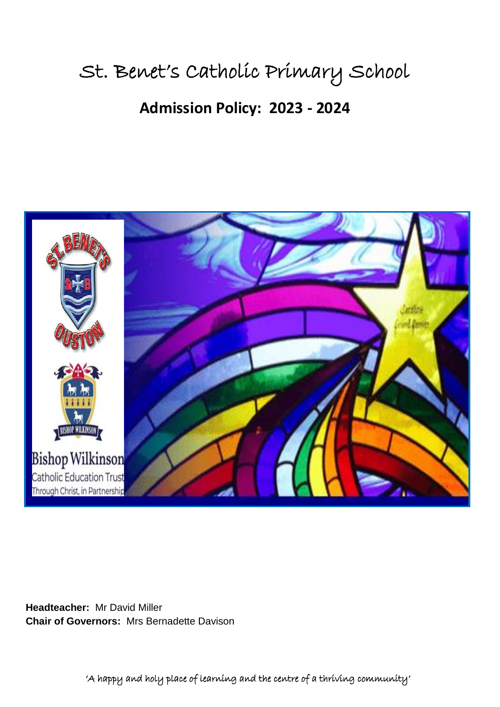# St. Benet's Catholic Primary School

# **Admission Policy: 2023 - 2024**



**Headteacher:** Mr David Miller **Chair of Governors:** Mrs Bernadette Davison

'A happy and holy place of learning and the centre of a thriving community'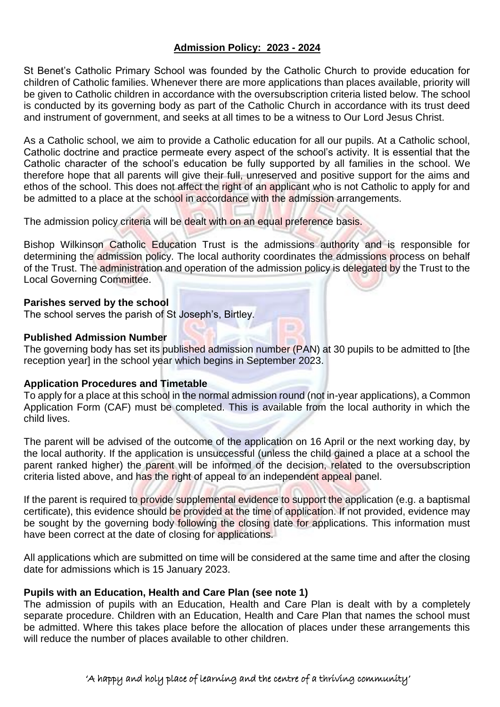# **Admission Policy: 2023 - 2024**

St Benet's Catholic Primary School was founded by the Catholic Church to provide education for children of Catholic families. Whenever there are more applications than places available, priority will be given to Catholic children in accordance with the oversubscription criteria listed below. The school is conducted by its governing body as part of the Catholic Church in accordance with its trust deed and instrument of government, and seeks at all times to be a witness to Our Lord Jesus Christ.

As a Catholic school, we aim to provide a Catholic education for all our pupils. At a Catholic school, Catholic doctrine and practice permeate every aspect of the school's activity. It is essential that the Catholic character of the school's education be fully supported by all families in the school. We therefore hope that all parents will give their full, unreserved and positive support for the aims and ethos of the school. This does not affect the right of an applicant who is not Catholic to apply for and be admitted to a place at the school in accordance with the admission arrangements.

The admission policy criteria will be dealt with on an equal preference basis.

Bishop Wilkinson Catholic Education Trust is the admissions authority and is responsible for determining the admission policy. The local authority coordinates the admissions process on behalf of the Trust. The administration and operation of the admission policy is delegated by the Trust to the Local Governing Committee.

#### **Parishes served by the school**

The school serves the parish of St Joseph's, Birtley.

# **Published Admission Number**

The governing body has set its published admission number (PAN) at 30 pupils to be admitted to [the reception year] in the school year which begins in September 2023.

#### **Application Procedures and Timetable**

To apply for a place at this school in the normal admission round (not in-year applications), a Common Application Form (CAF) must be completed. This is available from the local authority in which the child lives.

The parent will be advised of the outcome of the application on 16 April or the next working day, by the local authority. If the application is unsuccessful (unless the child gained a place at a school the parent ranked higher) the parent will be informed of the decision, related to the oversubscription criteria listed above, and has the right of appeal to an independent appeal panel.

If the parent is required to provide supplemental evidence to support the application (e.g. a baptismal certificate), this evidence should be provided at the time of application. If not provided, evidence may be sought by the governing body following the closing date for applications. This information must have been correct at the date of closing for applications.

All applications which are submitted on time will be considered at the same time and after the closing date for admissions which is 15 January 2023.

#### **Pupils with an Education, Health and Care Plan (see note 1)**

The admission of pupils with an Education, Health and Care Plan is dealt with by a completely separate procedure. Children with an Education, Health and Care Plan that names the school must be admitted. Where this takes place before the allocation of places under these arrangements this will reduce the number of places available to other children.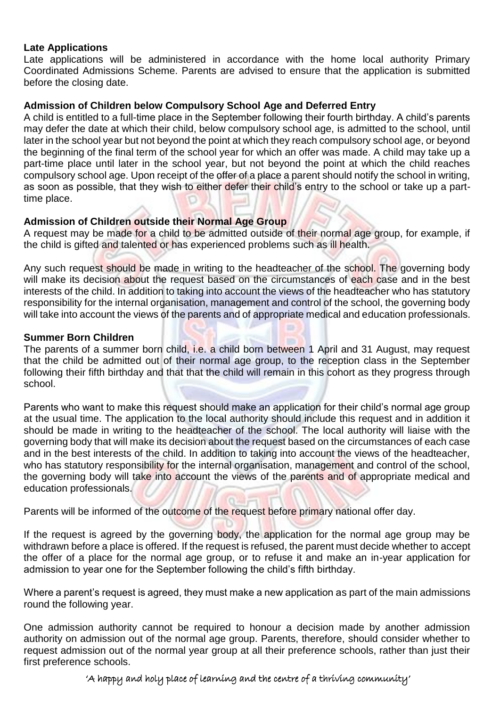#### **Late Applications**

Late applications will be administered in accordance with the home local authority Primary Coordinated Admissions Scheme. Parents are advised to ensure that the application is submitted before the closing date.

# **Admission of Children below Compulsory School Age and Deferred Entry**

A child is entitled to a full-time place in the September following their fourth birthday. A child's parents may defer the date at which their child, below compulsory school age, is admitted to the school, until later in the school year but not beyond the point at which they reach compulsory school age, or beyond the beginning of the final term of the school year for which an offer was made. A child may take up a part-time place until later in the school year, but not beyond the point at which the child reaches compulsory school age. Upon receipt of the offer of a place a parent should notify the school in writing, as soon as possible, that they wish to either defer their child's entry to the school or take up a parttime place.

# **Admission of Children outside their Normal Age Group**

A request may be made for a child to be admitted outside of their normal age group, for example, if the child is gifted and talented or has experienced problems such as ill health.

Any such request should be made in writing to the headteacher of the school. The governing body will make its decision about the request based on the circumstances of each case and in the best interests of the child. In addition to taking into account the views of the headteacher who has statutory responsibility for the internal organisation, management and control of the school, the governing body will take into account the views of the parents and of appropriate medical and education professionals.

#### **Summer Born Children**

The parents of a summer born child, i.e. a child born between 1 April and 31 August, may request that the child be admitted out of their normal age group, to the reception class in the September following their fifth birthday and that that the child will remain in this cohort as they progress through school.

Parents who want to make this request should make an application for their child's normal age group at the usual time. The application to the local authority should include this request and in addition it should be made in writing to the headteacher of the school. The local authority will liaise with the governing body that will make its decision about the request based on the circumstances of each case and in the best interests of the child. In addition to taking into account the views of the headteacher, who has statutory responsibility for the internal organisation, management and control of the school, the governing body will take into account the views of the parents and of appropriate medical and education professionals.

Parents will be informed of the outcome of the request before primary national offer day.

If the request is agreed by the governing body, the application for the normal age group may be withdrawn before a place is offered. If the request is refused, the parent must decide whether to accept the offer of a place for the normal age group, or to refuse it and make an in-year application for admission to year one for the September following the child's fifth birthday.

Where a parent's request is agreed, they must make a new application as part of the main admissions round the following year.

One admission authority cannot be required to honour a decision made by another admission authority on admission out of the normal age group. Parents, therefore, should consider whether to request admission out of the normal year group at all their preference schools, rather than just their first preference schools.

# 'A happy and holy place of learning and the centre of a thriving community'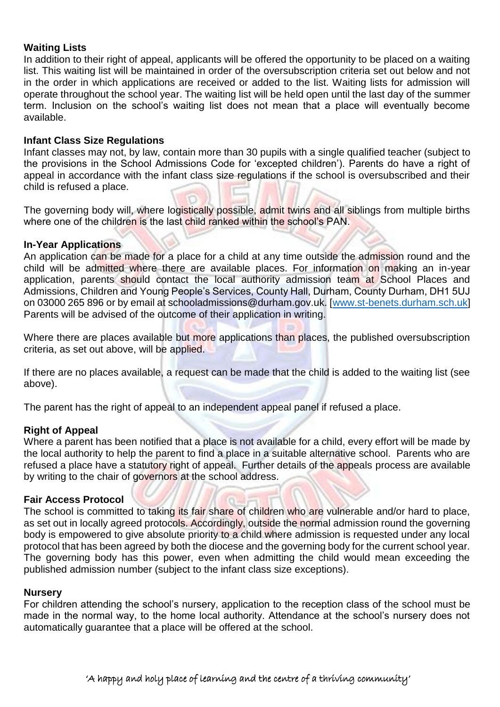# **Waiting Lists**

In addition to their right of appeal, applicants will be offered the opportunity to be placed on a waiting list. This waiting list will be maintained in order of the oversubscription criteria set out below and not in the order in which applications are received or added to the list. Waiting lists for admission will operate throughout the school year. The waiting list will be held open until the last day of the summer term. Inclusion on the school's waiting list does not mean that a place will eventually become available.

#### **Infant Class Size Regulations**

Infant classes may not, by law, contain more than 30 pupils with a single qualified teacher (subject to the provisions in the School Admissions Code for 'excepted children'). Parents do have a right of appeal in accordance with the infant class size regulations if the school is oversubscribed and their child is refused a place.

The governing body will, where logistically possible, admit twins and all siblings from multiple births where one of the children is the last child ranked within the school's PAN.

#### **In-Year Applications**

An application can be made for a place for a child at any time outside the admission round and the child will be admitted where there are available places. For information on making an in-year application, parents should contact the local authority admission team at School Places and Admissions, Children and Young People's Services, County Hall, Durham, County Durham, DH1 5UJ on 03000 265 896 or by email at schooladmissions@durham.gov.uk. [\[www.st-benets.durham.sch.uk\]](http://www.st-benets.durham.sch.uk/) Parents will be advised of the outcome of their application in writing.

Where there are places available but more applications than places, the published oversubscription criteria, as set out above, will be applied.

If there are no places available, a request can be made that the child is added to the waiting list (see above).

The parent has the right of appeal to an independent appeal panel if refused a place.

#### **Right of Appeal**

Where a parent has been notified that a place is not available for a child, every effort will be made by the local authority to help the parent to find a place in a suitable alternative school. Parents who are refused a place have a statutory right of appeal. Further details of the appeals process are available by writing to the chair of governors at the school address.

#### **Fair Access Protocol**

The school is committed to taking its fair share of children who are vulnerable and/or hard to place, as set out in locally agreed protocols. Accordingly, outside the normal admission round the governing body is empowered to give absolute priority to a child where admission is requested under any local protocol that has been agreed by both the diocese and the governing body for the current school year. The governing body has this power, even when admitting the child would mean exceeding the published admission number (subject to the infant class size exceptions).

#### **Nursery**

For children attending the school's nursery, application to the reception class of the school must be made in the normal way, to the home local authority. Attendance at the school's nursery does not automatically guarantee that a place will be offered at the school.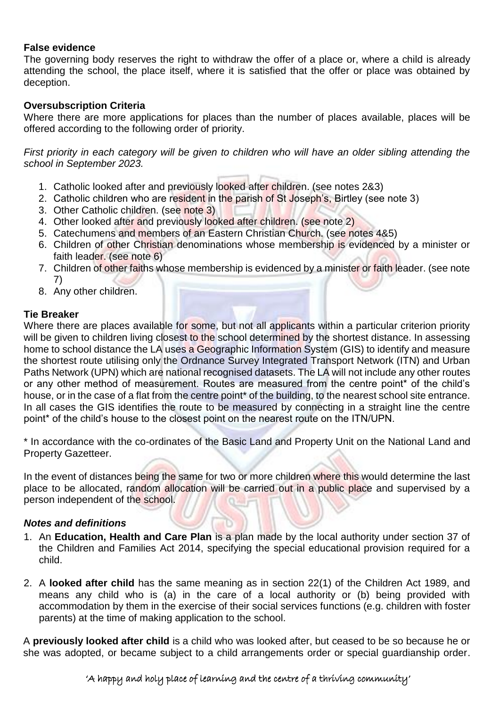# **False evidence**

The governing body reserves the right to withdraw the offer of a place or, where a child is already attending the school, the place itself, where it is satisfied that the offer or place was obtained by deception.

# **Oversubscription Criteria**

Where there are more applications for places than the number of places available, places will be offered according to the following order of priority.

*First priority in each category will be given to children who will have an older sibling attending the school in September 2023.*

- 1. Catholic looked after and previously looked after children. (see notes 2&3)
- 2. Catholic children who are resident in the parish of St Joseph's, Birtley (see note 3)
- 3. Other Catholic children. (see note 3)
- 4. Other looked after and previously looked after children. (see note 2)
- 5. Catechumens and members of an Eastern Christian Church. (see notes 4&5)
- 6. Children of other Christian denominations whose membership is evidenced by a minister or faith leader. (see note 6)
- 7. Children of other faiths whose membership is evidenced by a minister or faith leader. (see note 7)
- 8. Any other children.

# **Tie Breaker**

Where there are places available for some, but not all applicants within a particular criterion priority will be given to children living closest to the school determined by the shortest distance. In assessing home to school distance the LA uses a Geographic Information System (GIS) to identify and measure the shortest route utilising only the Ordnance Survey Integrated Transport Network (ITN) and Urban Paths Network (UPN) which are national recognised datasets. The LA will not include any other routes or any other method of measurement. Routes are measured from the centre point\* of the child's house, or in the case of a flat from the centre point<sup>\*</sup> of the building, to the nearest school site entrance. In all cases the GIS identifies the route to be measured by connecting in a straight line the centre point\* of the child's house to the closest point on the nearest route on the ITN/UPN.

\* In accordance with the co-ordinates of the Basic Land and Property Unit on the National Land and Property Gazetteer.

In the event of distances being the same for two or more children where this would determine the last place to be allocated, random allocation will be carried out in a public place and supervised by a person independent of the school.

# *Notes and definitions*

- 1. An **Education, Health and Care Plan** is a plan made by the local authority under section 37 of the Children and Families Act 2014, specifying the special educational provision required for a child.
- 2. A **looked after child** has the same meaning as in section 22(1) of the Children Act 1989, and means any child who is (a) in the care of a local authority or (b) being provided with accommodation by them in the exercise of their social services functions (e.g. children with foster parents) at the time of making application to the school.

A **previously looked after child** is a child who was looked after, but ceased to be so because he or she was adopted, or became subject to a child arrangements order or special guardianship order.

# 'A happy and holy place of learning and the centre of a thriving community'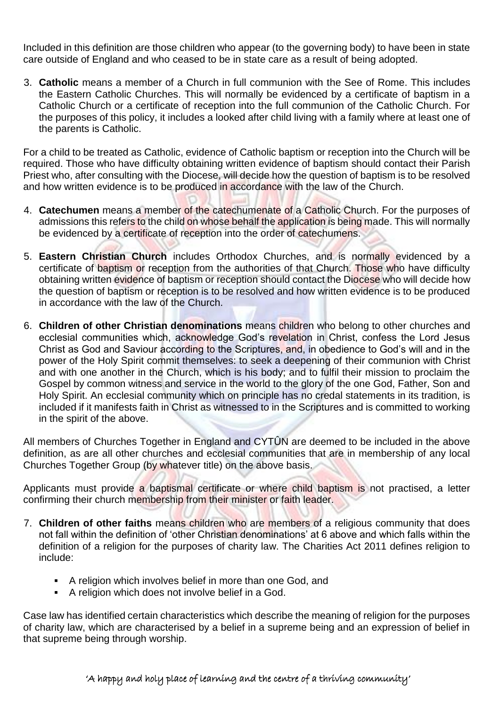Included in this definition are those children who appear (to the governing body) to have been in state care outside of England and who ceased to be in state care as a result of being adopted.

3. **Catholic** means a member of a Church in full communion with the See of Rome. This includes the Eastern Catholic Churches. This will normally be evidenced by a certificate of baptism in a Catholic Church or a certificate of reception into the full communion of the Catholic Church. For the purposes of this policy, it includes a looked after child living with a family where at least one of the parents is Catholic.

For a child to be treated as Catholic, evidence of Catholic baptism or reception into the Church will be required. Those who have difficulty obtaining written evidence of baptism should contact their Parish Priest who, after consulting with the Diocese, will decide how the question of baptism is to be resolved and how written evidence is to be produced in accordance with the law of the Church.

- 4. **Catechumen** means a member of the catechumenate of a Catholic Church. For the purposes of admissions this refers to the child on whose behalf the application is being made. This will normally be evidenced by a certificate of reception into the order of catechumens.
- 5. **Eastern Christian Church** includes Orthodox Churches, and is normally evidenced by a certificate of baptism or reception from the authorities of that Church. Those who have difficulty obtaining written evidence of baptism or reception should contact the Diocese who will decide how the question of baptism or reception is to be resolved and how written evidence is to be produced in accordance with the law of the Church.
- 6. **Children of other Christian denominations** means children who belong to other churches and ecclesial communities which, acknowledge God's revelation in Christ, confess the Lord Jesus Christ as God and Saviour according to the Scriptures, and, in obedience to God's will and in the power of the Holy Spirit commit themselves: to seek a deepening of their communion with Christ and with one another in the Church, which is his body; and to fulfil their mission to proclaim the Gospel by common witness and service in the world to the glory of the one God, Father, Son and Holy Spirit. An ecclesial community which on principle has no credal statements in its tradition, is included if it manifests faith in Christ as witnessed to in the Scriptures and is committed to working in the spirit of the above.

All members of Churches Together in England and CYTÛN are deemed to be included in the above definition, as are all other churches and ecclesial communities that are in membership of any local Churches Together Group (by whatever title) on the above basis.

Applicants must provide a baptismal certificate or where child baptism is not practised, a letter confirming their church membership from their minister or faith leader.

- 7. **Children of other faiths** means children who are members of a religious community that does not fall within the definition of 'other Christian denominations' at 6 above and which falls within the definition of a religion for the purposes of charity law. The Charities Act 2011 defines religion to include:
	- A religion which involves belief in more than one God, and
	- A religion which does not involve belief in a God.

Case law has identified certain characteristics which describe the meaning of religion for the purposes of charity law, which are characterised by a belief in a supreme being and an expression of belief in that supreme being through worship.